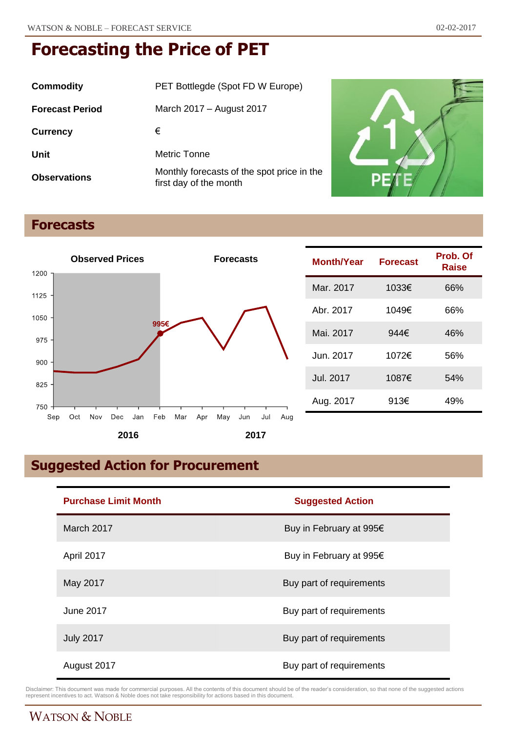| Commodity              | PET Bottlegde (Spot FD W Europe)                                     |
|------------------------|----------------------------------------------------------------------|
| <b>Forecast Period</b> | March 2017 – August 2017                                             |
| <b>Currency</b>        | €                                                                    |
| Unit                   | Metric Tonne                                                         |
| <b>Observations</b>    | Monthly forecasts of the spot price in the<br>first day of the month |



# **Forecasts**



| Month/Year | <b>Forecast</b> | Prob. Of<br>Raise |
|------------|-----------------|-------------------|
| Mar. 2017  | 1033€           | 66%               |
| Abr. 2017  | 1049€           | 66%               |
| Mai. 2017  | 944€            | 46%               |
| Jun. 2017  | 1072€           | 56%               |
| Jul. 2017  | 1087€           | 54%               |
| Aug. 2017  | 913€            | 49%               |

# **Suggested Action for Procurement**

| <b>Purchase Limit Month</b> | <b>Suggested Action</b>  |
|-----------------------------|--------------------------|
| March 2017                  | Buy in February at 995€  |
| April 2017                  | Buy in February at 995€  |
| May 2017                    | Buy part of requirements |
| June 2017                   | Buy part of requirements |
| <b>July 2017</b>            | Buy part of requirements |
| August 2017                 | Buy part of requirements |

Disclaimer: This document was made for commercial purposes. All the contents of this document should be of the reader's consideration, so that none of the suggested actions<br>represent incentives to act. Watson & Noble does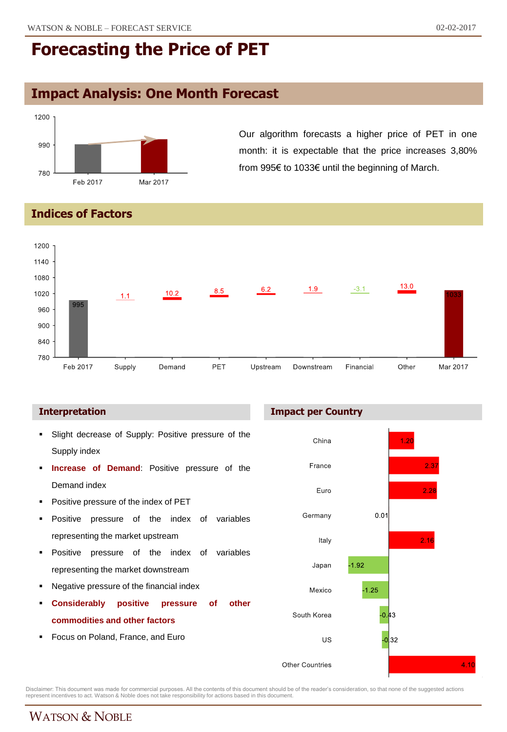## **Impact Analysis: One Month Forecast**



Our algorithm forecasts a higher price of PET in one month: it is expectable that the price increases 3,80% from 995€ to 1033€ until the beginning of March.

#### **Indices of Factors**



#### **Interpretation**

- Slight decrease of Supply: Positive pressure of the Supply index
- **Increase of Demand**: Positive pressure of the Demand index
- Positive pressure of the index of PET
- Positive pressure of the index of variables representing the market upstream
- **Positive pressure of the index of variables** representing the market downstream
- Negative pressure of the financial index
- **Considerably positive pressure of other commodities and other factors**
- Focus on Poland, France, and Euro





Disclaimer: This document was made for commercial purposes. All the contents of this document should be of the reader's consideration, so that none of the suggested actions<br>represent incentives to act. Watson & Noble does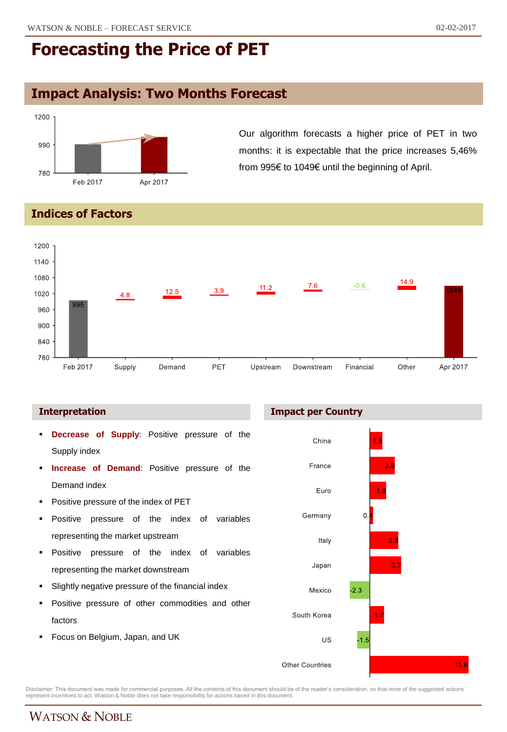# **Impact Analysis: Two Months Forecast**



Our algorithm forecasts a higher price of PET in two months: it is expectable that the price increases 5,46% from 995€ to 1049€ until the beginning of April.

### **Indices of Factors**



- **Decrease of Supply**: Positive pressure of the Supply index
- **Increase of Demand**: Positive pressure of the Demand index
- Positive pressure of the index of PET
- Positive pressure of the index of variables representing the market upstream
- **Positive pressure of the index of variables** representing the market downstream
- Slightly negative pressure of the financial index
- Positive pressure of other commodities and other factors
- Focus on Belgium, Japan, and UK





Disclaimer: This document was made for commercial purposes. All the contents of this document should be of the reader's consideration, so that none of the suggested actions<br>represent incentives to act. Watson & Noble does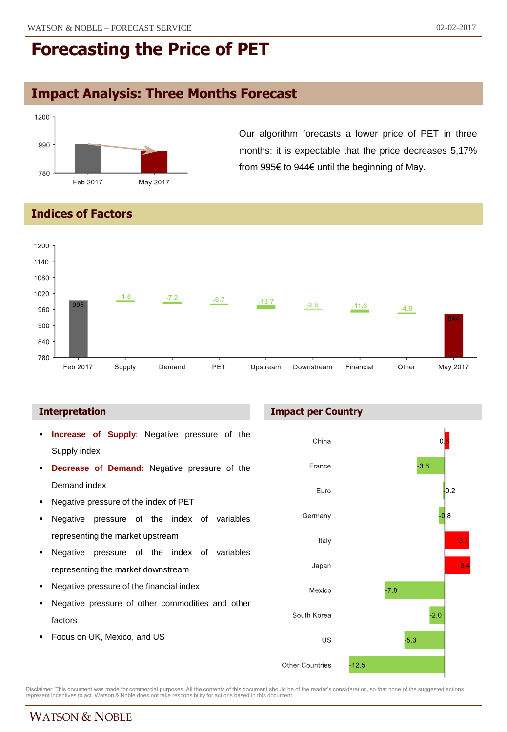# **Impact Analysis: Three Months Forecast**



Our algorithm forecasts a lower price of PET in three months: it is expectable that the price decreases 5,17% from 995€ to 944€ until the beginning of May.

#### **Indices of Factors**



- **Increase of Supply**: Negative pressure of the Supply index
- **Decrease of Demand:** Negative pressure of the Demand index
- Negative pressure of the index of PET
- Negative pressure of the index of variables representing the market upstream
- Negative pressure of the index of variables representing the market downstream
- Negative pressure of the financial index
- Negative pressure of other commodities and other factors
- Focus on UK, Mexico, and US

#### **Interpretation Impact per Country**



Disclaimer: This document was made for commercial purposes. All the contents of this document should be of the reader's consideration, so that none of the suggested actions<br>represent incentives to act. Watson & Noble does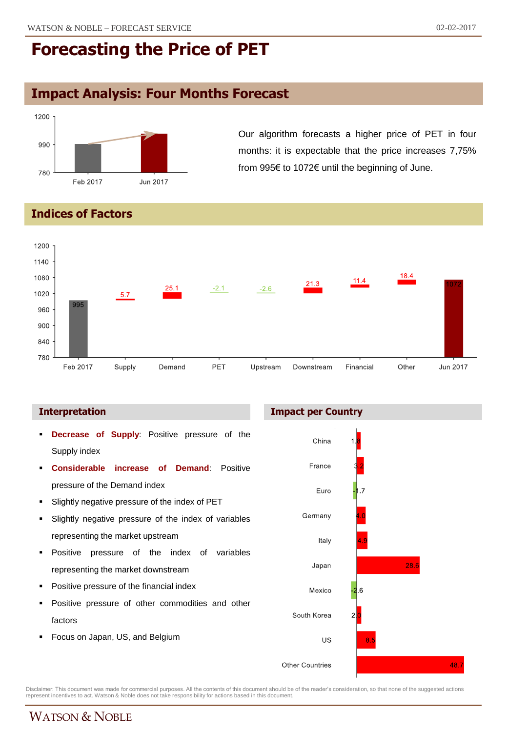# **Impact Analysis: Four Months Forecast**



Our algorithm forecasts a higher price of PET in four months: it is expectable that the price increases 7,75% from 995€ to 1072€ until the beginning of June.

### **Indices of Factors**



#### **Interpretation Impact per Country**



Disclaimer: This document was made for commercial purposes. All the contents of this document should be of the reader's consideration, so that none of the suggested actions<br>represent incentives to act. Watson & Noble does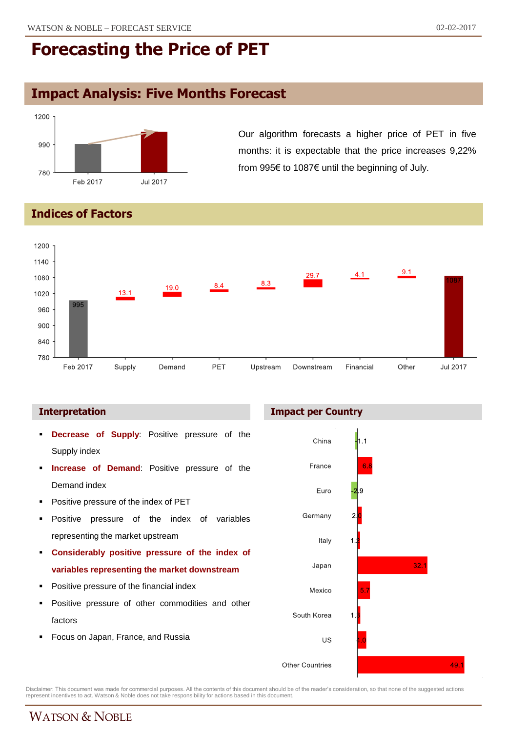# **Impact Analysis: Five Months Forecast**



Our algorithm forecasts a higher price of PET in five months: it is expectable that the price increases 9,22% from 995€ to 1087€ until the beginning of July.

### **Indices of Factors**



- **Decrease of Supply**: Positive pressure of the Supply index
- **Increase of Demand**: Positive pressure of the Demand index
- Positive pressure of the index of PET
- Positive pressure of the index of variables representing the market upstream
- **Considerably positive pressure of the index of variables representing the market downstream**
- Positive pressure of the financial index
- Positive pressure of other commodities and other factors
- Focus on Japan, France, and Russia





Disclaimer: This document was made for commercial purposes. All the contents of this document should be of the reader's consideration, so that none of the suggested actions<br>represent incentives to act. Watson & Noble does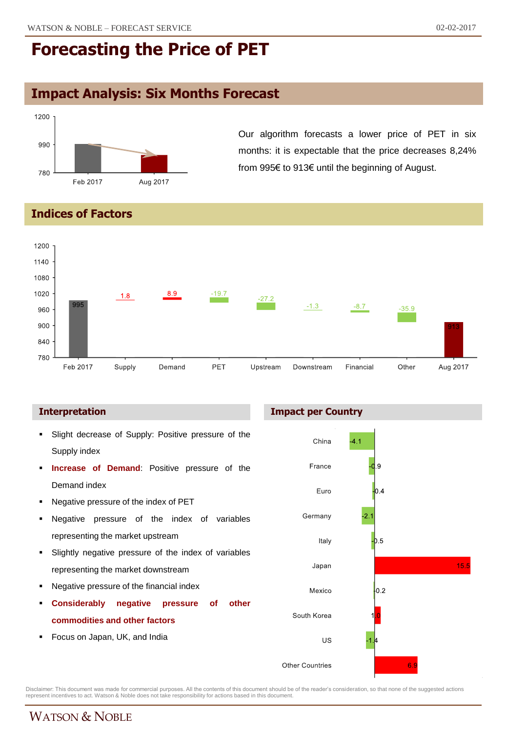## **Impact Analysis: Six Months Forecast**



Our algorithm forecasts a lower price of PET in six months: it is expectable that the price decreases 8,24% from 995€ to 913€ until the beginning of August.

### **Indices of Factors**



- Slight decrease of Supply: Positive pressure of the Supply index
- **Increase of Demand**: Positive pressure of the Demand index
- Negative pressure of the index of PET
- Negative pressure of the index of variables representing the market upstream
- Slightly negative pressure of the index of variables representing the market downstream
- Negative pressure of the financial index
- **Considerably negative pressure of other commodities and other factors**
- Focus on Japan, UK, and India





Disclaimer: This document was made for commercial purposes. All the contents of this document should be of the reader's consideration, so that none of the suggested actions<br>represent incentives to act. Watson & Noble does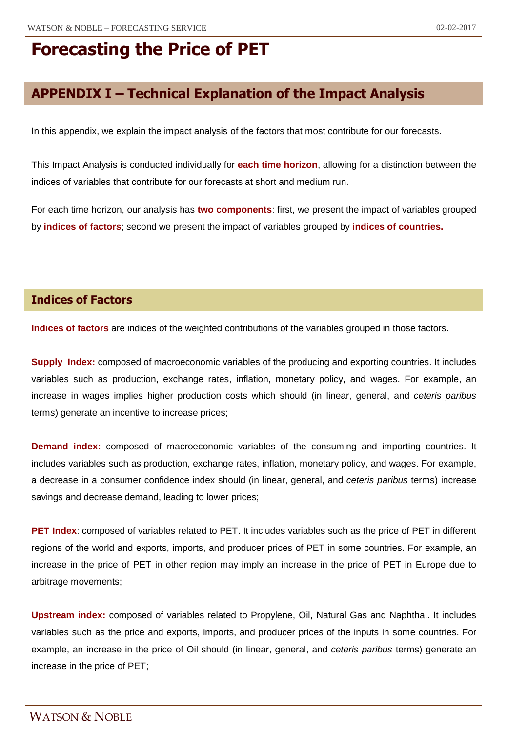## **APPENDIX I – Technical Explanation of the Impact Analysis**

In this appendix, we explain the impact analysis of the factors that most contribute for our forecasts.

This Impact Analysis is conducted individually for **each time horizon**, allowing for a distinction between the indices of variables that contribute for our forecasts at short and medium run.

For each time horizon, our analysis has **two components**: first, we present the impact of variables grouped by **indices of factors**; second we present the impact of variables grouped by **indices of countries.**

#### **Indices of Factors**

**Indices of factors** are indices of the weighted contributions of the variables grouped in those factors.

**Supply Index:** composed of macroeconomic variables of the producing and exporting countries. It includes variables such as production, exchange rates, inflation, monetary policy, and wages. For example, an increase in wages implies higher production costs which should (in linear, general, and *ceteris paribus* terms) generate an incentive to increase prices;

**Demand index:** composed of macroeconomic variables of the consuming and importing countries. It includes variables such as production, exchange rates, inflation, monetary policy, and wages. For example, a decrease in a consumer confidence index should (in linear, general, and *ceteris paribus* terms) increase savings and decrease demand, leading to lower prices;

**PET Index**: composed of variables related to PET. It includes variables such as the price of PET in different regions of the world and exports, imports, and producer prices of PET in some countries. For example, an increase in the price of PET in other region may imply an increase in the price of PET in Europe due to arbitrage movements;

**Upstream index:** composed of variables related to Propylene, Oil, Natural Gas and Naphtha.. It includes variables such as the price and exports, imports, and producer prices of the inputs in some countries. For example, an increase in the price of Oil should (in linear, general, and *ceteris paribus* terms) generate an increase in the price of PET;